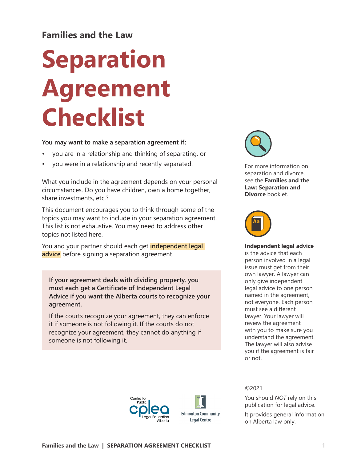# **Families and the Law**

# **Separation Agreement Checklist**

**You may want to make a separation agreement if:**

- you are in a relationship and thinking of separating, or
- you were in a relationship and recently separated.

What you include in the agreement depends on your personal circumstances. Do you have children, own a home together, share investments, etc.?

This document encourages you to think through some of the topics you may want to include in your separation agreement. This list is not exhaustive. You may need to address other topics not listed here.

You and your partner should each get **independent legal advice** before signing a separation agreement.

**If your agreement deals with dividing property, you must each get a Certificate of Independent Legal Advice if you want the Alberta courts to recognize your agreement.**

If the courts recognize your agreement, they can enforce it if someone is not following it. If the courts do not recognize your agreement, they cannot do anything if someone is not following it.



For more information on separation and divorce, see the **Families and the Law: Separation and Divorce** booklet.



©2021

**Independent legal advice** is the advice that each person involved in a legal issue must get from their own lawyer. A lawyer can only give independent legal advice to one person named in the agreement, not everyone. Each person must see a different lawyer. Your lawyer will review the agreement with you to make sure you understand the agreement. The lawyer will also advise you if the agreement is fair or not.

You should *NOT* rely on this publication for legal advice. It provides general information

on Alberta law only.





**Edmonton Community Legal Centre**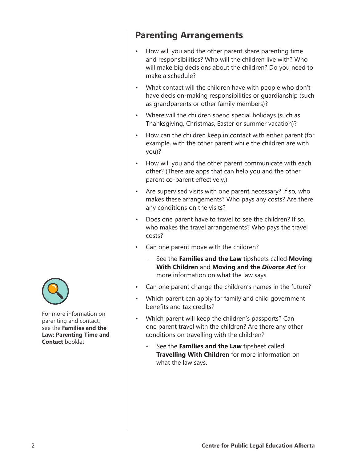For more information on parenting and contact, see the **Families and the Law: Parenting Time and Contact** booklet.

# **Parenting Arrangements**

- How will you and the other parent share parenting time and responsibilities? Who will the children live with? Who will make big decisions about the children? Do you need to make a schedule?
- What contact will the children have with people who don't have decision-making responsibilities or guardianship (such as grandparents or other family members)?
- Where will the children spend special holidays (such as Thanksgiving, Christmas, Easter or summer vacation)?
- How can the children keep in contact with either parent (for example, with the other parent while the children are with you)?
- How will you and the other parent communicate with each other? (There are apps that can help you and the other parent co-parent effectively.)
- Are supervised visits with one parent necessary? If so, who makes these arrangements? Who pays any costs? Are there any conditions on the visits?
- Does one parent have to travel to see the children? If so, who makes the travel arrangements? Who pays the travel costs?
- Can one parent move with the children?
	- See the **Families and the Law** tipsheets called **Moving With Children** and **Moving and the** *Divorce Act* for more information on what the law says.
- Can one parent change the children's names in the future?
- Which parent can apply for family and child government benefits and tax credits?
- Which parent will keep the children's passports? Can one parent travel with the children? Are there any other conditions on travelling with the children?
	- See the **Families and the Law** tipsheet called **Travelling With Children** for more information on what the law says.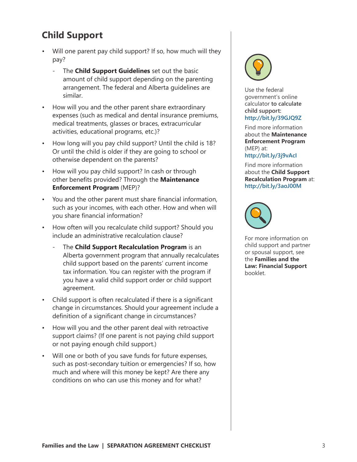# **Child Support**

- Will one parent pay child support? If so, how much will they pay?
	- The **Child Support Guidelines** set out the basic amount of child support depending on the parenting arrangement. The federal and Alberta guidelines are similar.
- How will you and the other parent share extraordinary expenses (such as medical and dental insurance premiums, medical treatments, glasses or braces, extracurricular activities, educational programs, etc.)?
- How long will you pay child support? Until the child is 18? Or until the child is older if they are going to school or otherwise dependent on the parents?
- How will you pay child support? In cash or through other benefits provided? Through the **Maintenance Enforcement Program** (MEP)?
- You and the other parent must share financial information, such as your incomes, with each other. How and when will you share financial information?
- How often will you recalculate child support? Should you include an administrative recalculation clause?
	- The **Child Support Recalculation Program** is an Alberta government program that annually recalculates child support based on the parents' current income tax information. You can register with the program if you have a valid child support order or child support agreement.
- Child support is often recalculated if there is a significant change in circumstances. Should your agreement include a definition of a significant change in circumstances?
- How will you and the other parent deal with retroactive support claims? (If one parent is not paying child support or not paying enough child support.)
- Will one or both of you save funds for future expenses, such as post-secondary tuition or emergencies? If so, how much and where will this money be kept? Are there any conditions on who can use this money and for what?



Use the federal government's online calculator **to calculate child support: http://bit.ly/39GJQ9Z**

Find more information about the **Maintenance Enforcement Program** (MEP) at:

**http://bit.ly/3j9vAcI**

Find more information about the **Child Support Recalculation Program** at: **http://bit.ly/3aoJ00M**



For more information on child support and partner or spousal support, see the **Families and the Law: Financial Support** booklet.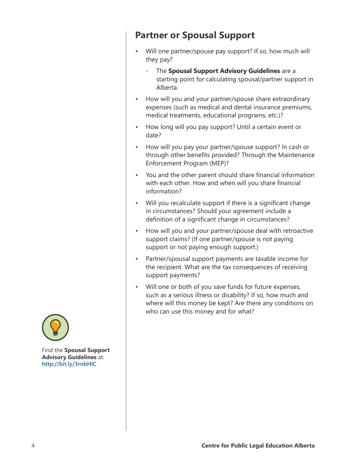# **Partner or Spousal Support**

- Will one partner/spouse pay support? If so, how much will they pay?
	- The **Spousal Support Advisory Guidelines** are a starting point for calculating spousal/partner support in Alberta.
- How will you and your partner/spouse share extraordinary expenses (such as medical and dental insurance premiums, medical treatments, educational programs, etc.)?
- How long will you pay support? Until a certain event or date?
- How will you pay your partner/spouse support? In cash or through other benefits provided? Through the Maintenance Enforcement Program (MEP)?
- You and the other parent should share financial information with each other. How and when will you share financial information?
- Will you recalculate support if there is a significant change in circumstances? Should your agreement include a definition of a significant change in circumstances?
- How will you and your partner/spouse deal with retroactive support claims? (If one partner/spouse is not paying support or not paying enough support.)
- Partner/spousal support payments are taxable income for the recipient. What are the tax consequences of receiving support payments?
- Will one or both of you save funds for future expenses, such as a serious illness or disability? If so, how much and where will this money be kept? Are there any conditions on who can use this money and for what?



Find the **Spousal Support Advisory Guidelines** at: **http://bit.ly/3rnbHlC**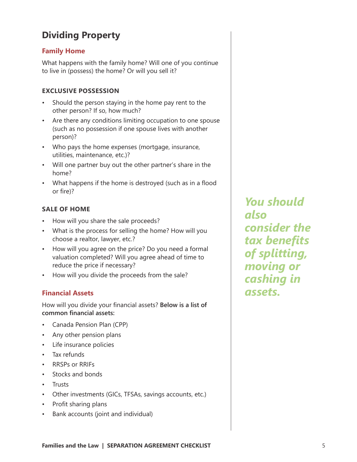# **Dividing Property**

#### **Family Home**

What happens with the family home? Will one of you continue to live in (possess) the home? Or will you sell it?

#### **EXCLUSIVE POSSESSION**

- Should the person staying in the home pay rent to the other person? If so, how much?
- Are there any conditions limiting occupation to one spouse (such as no possession if one spouse lives with another person)?
- Who pays the home expenses (mortgage, insurance, utilities, maintenance, etc.)?
- Will one partner buy out the other partner's share in the home?
- What happens if the home is destroyed (such as in a flood or fire)?

#### **SALE OF HOME**

- How will you share the sale proceeds?
- What is the process for selling the home? How will you choose a realtor, lawyer, etc.?
- How will you agree on the price? Do you need a formal valuation completed? Will you agree ahead of time to reduce the price if necessary?
- How will you divide the proceeds from the sale?

### **Financial Assets**

How will you divide your financial assets? **Below is a list of common financial assets:**

- Canada Pension Plan (CPP)
- Any other pension plans
- Life insurance policies
- Tax refunds
- RRSPs or RRIFs
- Stocks and bonds
- Trusts
- Other investments (GICs, TFSAs, savings accounts, etc.)
- Profit sharing plans
- Bank accounts (joint and individual)

*You should also consider the tax benefits of splitting, moving or cashing in assets.*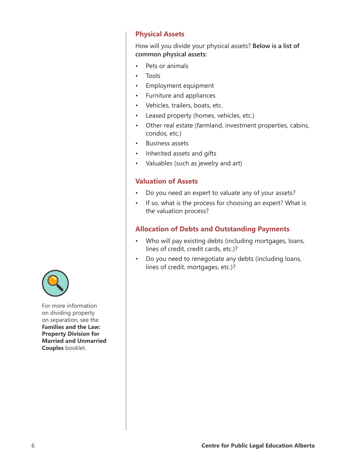#### **Physical Assets**

How will you divide your physical assets? **Below is a list of common physical assets:**

- Pets or animals
- Tools
- Employment equipment
- Furniture and appliances
- Vehicles, trailers, boats, etc.
- Leased property (homes, vehicles, etc.)
- Other real estate (farmland, investment properties, cabins, condos, etc.)
- Business assets
- Inherited assets and gifts
- Valuables (such as jewelry and art)

### **Valuation of Assets**

- Do you need an expert to valuate any of your assets?
- If so, what is the process for choosing an expert? What is the valuation process?

### **Allocation of Debts and Outstanding Payments**

- Who will pay existing debts (including mortgages, loans, lines of credit, credit cards, etc.)?
- Do you need to renegotiate any debts (including loans, lines of credit, mortgages, etc.)?



For more information on dividing property on separation, see the **Families and the Law: Property Division for Married and Unmarried Couples** booklet.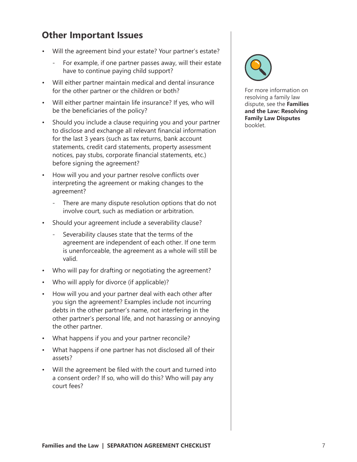# **Other Important Issues**

- Will the agreement bind your estate? Your partner's estate?
	- For example, if one partner passes away, will their estate have to continue paying child support?
- Will either partner maintain medical and dental insurance for the other partner or the children or both?
- Will either partner maintain life insurance? If yes, who will be the beneficiaries of the policy?
- Should you include a clause requiring you and your partner to disclose and exchange all relevant financial information for the last 3 years (such as tax returns, bank account statements, credit card statements, property assessment notices, pay stubs, corporate financial statements, etc.) before signing the agreement?
- How will you and your partner resolve conflicts over interpreting the agreement or making changes to the agreement?
	- There are many dispute resolution options that do not involve court, such as mediation or arbitration.
- Should your agreement include a severability clause?
	- Severability clauses state that the terms of the agreement are independent of each other. If one term is unenforceable, the agreement as a whole will still be valid.
- Who will pay for drafting or negotiating the agreement?
- Who will apply for divorce (if applicable)?
- How will you and your partner deal with each other after you sign the agreement? Examples include not incurring debts in the other partner's name, not interfering in the other partner's personal life, and not harassing or annoying the other partner.
- What happens if you and your partner reconcile?
- What happens if one partner has not disclosed all of their assets?
- Will the agreement be filed with the court and turned into a consent order? If so, who will do this? Who will pay any court fees?



For more information on resolving a family law dispute, see the **Families and the Law: Resolving Family Law Disputes** booklet.